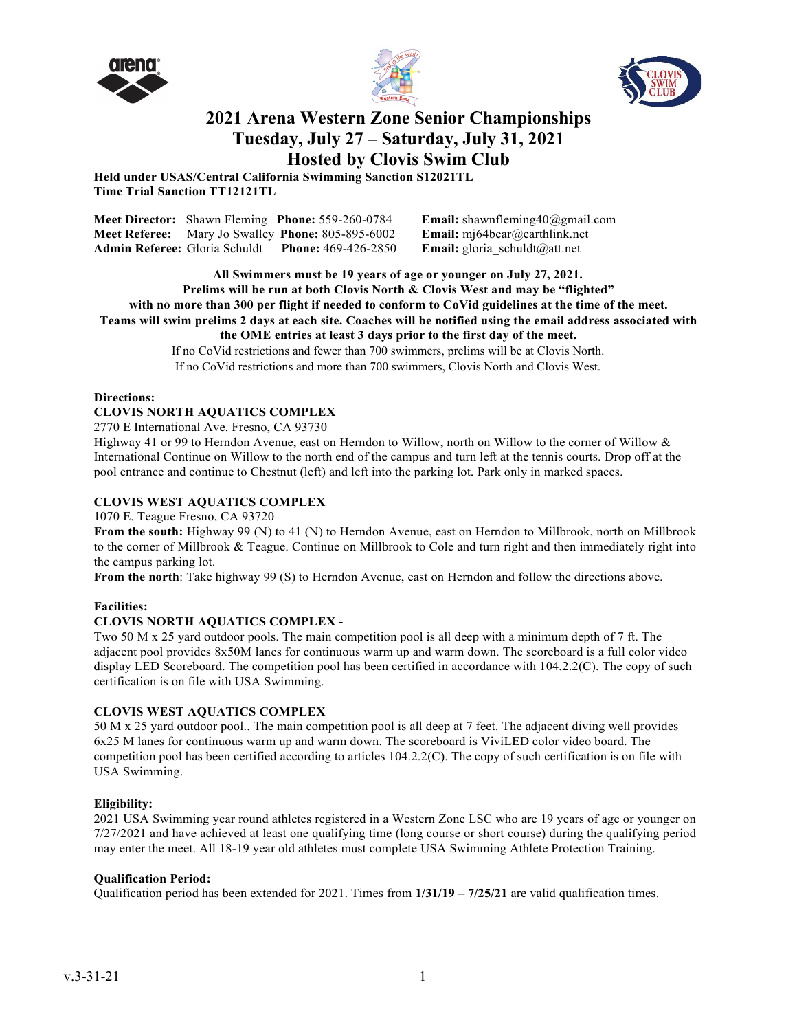





## **2021 Arena Western Zone Senior Championships Tuesday, July 27 – Saturday, July 31, 2021 Hosted by Clovis Swim Club**

**Held under USAS/Central California Swimming Sanction S12021TL Time Trial Sanction TT12121TL**

|  | Meet Director: Shawn Fleming Phone: 559-260-0784                | <b>Email:</b> shawnfleming40@gmail.com |
|--|-----------------------------------------------------------------|----------------------------------------|
|  | <b>Meet Referee:</b> Mary Jo Swalley <b>Phone:</b> 805-895-6002 | <b>Email:</b> mj64bear@earthlink.net   |
|  | <b>Admin Referee:</b> Gloria Schuldt Phone: 469-426-2850        | <b>Email:</b> gloria schuldt@att.net   |

**All Swimmers must be 19 years of age or younger on July 27, 2021. Prelims will be run at both Clovis North & Clovis West and may be "flighted" with no more than 300 per flight if needed to conform to CoVid guidelines at the time of the meet. Teams will swim prelims 2 days at each site. Coaches will be notified using the email address associated with the OME entries at least 3 days prior to the first day of the meet.** If no CoVid restrictions and fewer than 700 swimmers, prelims will be at Clovis North.

If no CoVid restrictions and more than 700 swimmers, Clovis North and Clovis West.

#### **Directions:**

#### **CLOVIS NORTH AQUATICS COMPLEX**

2770 E International Ave. Fresno, CA 93730

Highway 41 or 99 to Herndon Avenue, east on Herndon to Willow, north on Willow to the corner of Willow & International Continue on Willow to the north end of the campus and turn left at the tennis courts. Drop off at the pool entrance and continue to Chestnut (left) and left into the parking lot. Park only in marked spaces.

#### **CLOVIS WEST AQUATICS COMPLEX**

1070 E. Teague Fresno, CA 93720

**From the south:** Highway 99 (N) to 41 (N) to Herndon Avenue, east on Herndon to Millbrook, north on Millbrook to the corner of Millbrook & Teague. Continue on Millbrook to Cole and turn right and then immediately right into the campus parking lot.

**From the north**: Take highway 99 (S) to Herndon Avenue, east on Herndon and follow the directions above.

#### **Facilities:**

#### **CLOVIS NORTH AQUATICS COMPLEX -**

Two 50 M x 25 yard outdoor pools. The main competition pool is all deep with a minimum depth of 7 ft. The adjacent pool provides 8x50M lanes for continuous warm up and warm down. The scoreboard is a full color video display LED Scoreboard. The competition pool has been certified in accordance with 104.2.2(C). The copy of such certification is on file with USA Swimming.

#### **CLOVIS WEST AQUATICS COMPLEX**

50 M x 25 yard outdoor pool.. The main competition pool is all deep at 7 feet. The adjacent diving well provides 6x25 M lanes for continuous warm up and warm down. The scoreboard is ViviLED color video board. The competition pool has been certified according to articles 104.2.2(C). The copy of such certification is on file with USA Swimming.

#### **Eligibility:**

2021 USA Swimming year round athletes registered in a Western Zone LSC who are 19 years of age or younger on 7/27/2021 and have achieved at least one qualifying time (long course or short course) during the qualifying period may enter the meet. All 18-19 year old athletes must complete USA Swimming Athlete Protection Training.

#### **Qualification Period:**

Qualification period has been extended for 2021. Times from **1/31/19 – 7/25/21** are valid qualification times.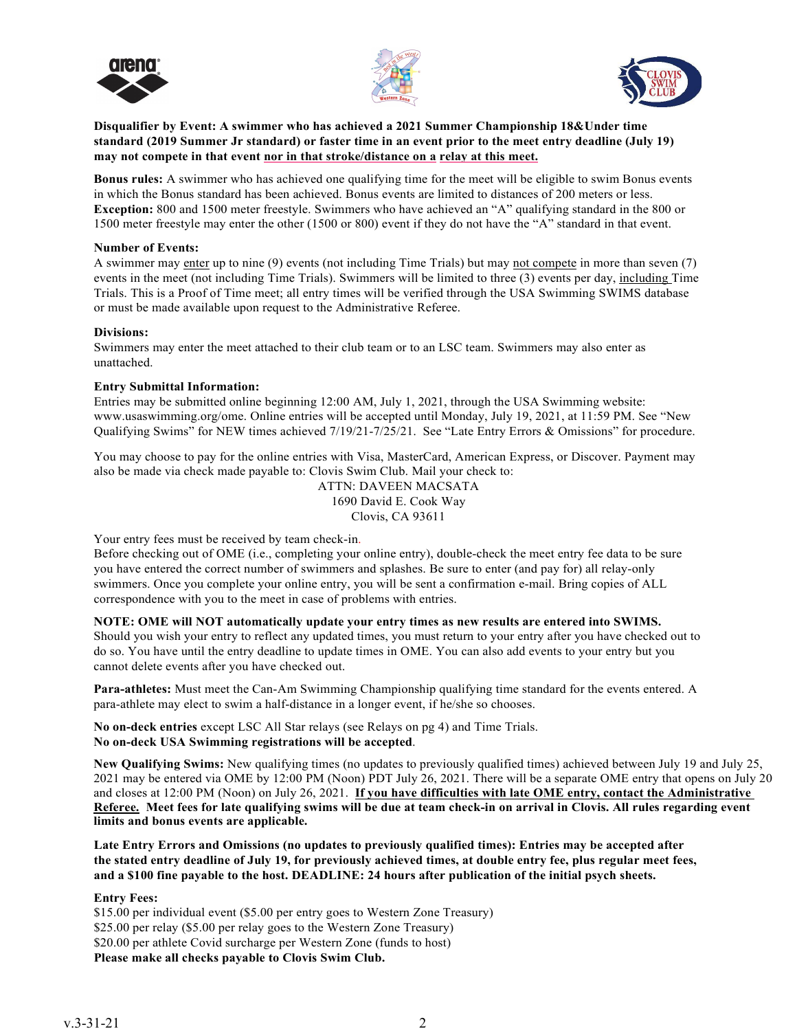





**Disqualifier by Event: A swimmer who has achieved a 2021 Summer Championship 18&Under time standard (2019 Summer Jr standard) or faster time in an event prior to the meet entry deadline (July 19) may not compete in that event nor in that stroke/distance on a relay at this meet.**

**Bonus rules:** A swimmer who has achieved one qualifying time for the meet will be eligible to swim Bonus events in which the Bonus standard has been achieved. Bonus events are limited to distances of 200 meters or less. **Exception:** 800 and 1500 meter freestyle. Swimmers who have achieved an "A" qualifying standard in the 800 or 1500 meter freestyle may enter the other (1500 or 800) event if they do not have the "A" standard in that event.

#### **Number of Events:**

A swimmer may enter up to nine (9) events (not including Time Trials) but may not compete in more than seven (7) events in the meet (not including Time Trials). Swimmers will be limited to three (3) events per day, including Time Trials. This is a Proof of Time meet; all entry times will be verified through the USA Swimming SWIMS database or must be made available upon request to the Administrative Referee.

#### **Divisions:**

Swimmers may enter the meet attached to their club team or to an LSC team. Swimmers may also enter as unattached.

#### **Entry Submittal Information:**

Entries may be submitted online beginning 12:00 AM, July 1, 2021, through the USA Swimming website: [www.usaswimming.org/ome. O](http://www.usaswimming.org/ome)nline entries will be accepted until Monday, July 19, 2021, at 11:59 PM. See "New Qualifying Swims" for NEW times achieved 7/19/21-7/25/21. See "Late Entry Errors & Omissions" for procedure.

You may choose to pay for the online entries with Visa, MasterCard, American Express, or Discover. Payment may also be made via check made payable to: Clovis Swim Club. Mail your check to:

> ATTN: DAVEEN MACSATA 1690 David E. Cook Way Clovis, CA 93611

Your entry fees must be received by team check-in.

Before checking out of OME (i.e., completing your online entry), double-check the meet entry fee data to be sure you have entered the correct number of swimmers and splashes. Be sure to enter (and pay for) all relay-only swimmers. Once you complete your online entry, you will be sent a confirmation e-mail. Bring copies of ALL correspondence with you to the meet in case of problems with entries.

#### **NOTE: OME will NOT automatically update your entry times as new results are entered into SWIMS.**

Should you wish your entry to reflect any updated times, you must return to your entry after you have checked out to do so. You have until the entry deadline to update times in OME. You can also add events to your entry but you cannot delete events after you have checked out.

**Para-athletes:** Must meet the Can-Am Swimming Championship qualifying time standard for the events entered. A para-athlete may elect to swim a half-distance in a longer event, if he/she so chooses.

**No on-deck entries** except LSC All Star relays (see Relays on pg 4) and Time Trials. **No on-deck USA Swimming registrations will be accepted**.

**New Qualifying Swims:** New qualifying times (no updates to previously qualified times) achieved between July 19 and July 25, 2021 may be entered via OME by 12:00 PM (Noon) PDT July 26, 2021. There will be a separate OME entry that opens on July 20 and closes at 12:00 PM (Noon) on July 26, 2021. **If you have difficulties with late OME entry, contact the Administrative Referee. Meet fees for late qualifying swims will be due at team check-in on arrival in Clovis. All rules regarding event limits and bonus events are applicable.**

**Late Entry Errors and Omissions (no updates to previously qualified times): Entries may be accepted after the stated entry deadline of July 19, for previously achieved times, at double entry fee, plus regular meet fees, and a \$100 fine payable to the host. DEADLINE: 24 hours after publication of the initial psych sheets.**

#### **Entry Fees:**

\$15.00 per individual event (\$5.00 per entry goes to Western Zone Treasury) \$25.00 per relay (\$5.00 per relay goes to the Western Zone Treasury) \$20.00 per athlete Covid surcharge per Western Zone (funds to host)

**Please make all checks payable to Clovis Swim Club.**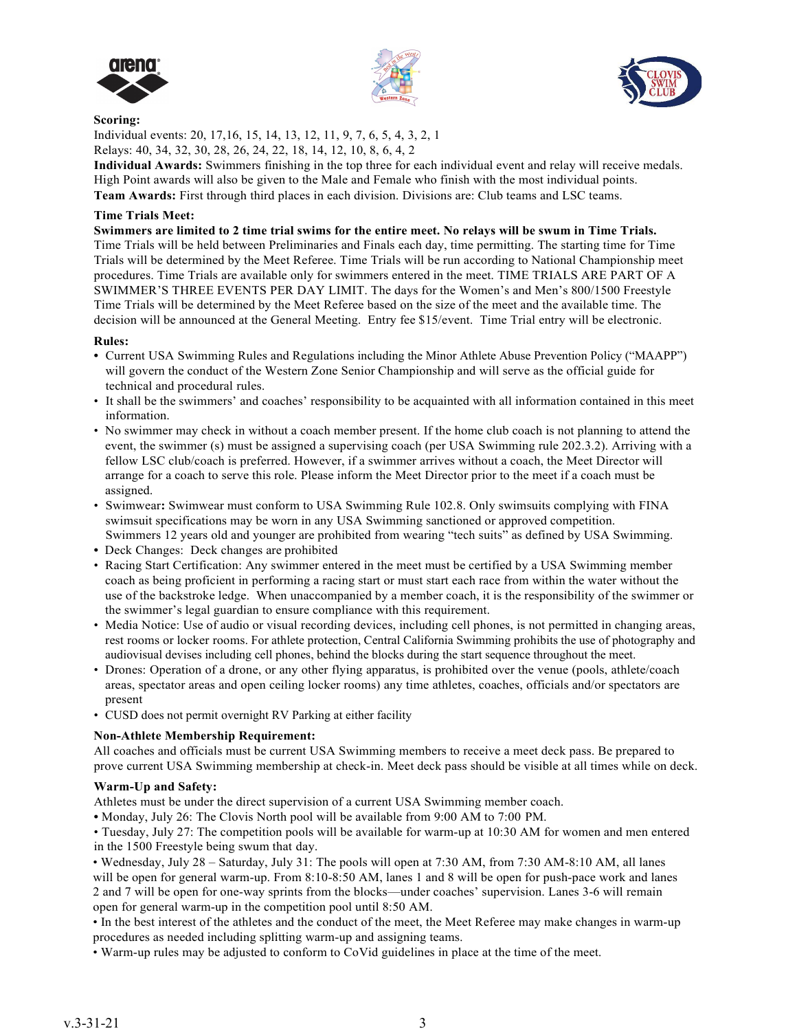





#### **Scoring:**

Individual events: 20, 17,16, 15, 14, 13, 12, 11, 9, 7, 6, 5, 4, 3, 2, 1 Relays: 40, 34, 32, 30, 28, 26, 24, 22, 18, 14, 12, 10, 8, 6, 4, 2

**Individual Awards:** Swimmers finishing in the top three for each individual event and relay will receive medals. High Point awards will also be given to the Male and Female who finish with the most individual points. **Team Awards:** First through third places in each division. Divisions are: Club teams and LSC teams.

#### **Time Trials Meet:**

**Swimmers are limited to 2 time trial swims for the entire meet. No relays will be swum in Time Trials.** Time Trials will be held between Preliminaries and Finals each day, time permitting. The starting time for Time Trials will be determined by the Meet Referee. Time Trials will be run according to National Championship meet procedures. Time Trials are available only for swimmers entered in the meet. TIME TRIALS ARE PART OF A SWIMMER'S THREE EVENTS PER DAY LIMIT. The days for the Women's and Men's 800/1500 Freestyle Time Trials will be determined by the Meet Referee based on the size of the meet and the available time. The decision will be announced at the General Meeting. Entry fee \$15/event. Time Trial entry will be electronic.

#### **Rules:**

- **•** Current USA Swimming Rules and Regulations including the Minor Athlete Abuse Prevention Policy ("MAAPP") will govern the conduct of the Western Zone Senior Championship and will serve as the official guide for technical and procedural rules.
- It shall be the swimmers' and coaches' responsibility to be acquainted with all information contained in this meet information.
- No swimmer may check in without a coach member present. If the home club coach is not planning to attend the event, the swimmer (s) must be assigned a supervising coach (per USA Swimming rule 202.3.2). Arriving with a fellow LSC club/coach is preferred. However, if a swimmer arrives without a coach, the Meet Director will arrange for a coach to serve this role. Please inform the Meet Director prior to the meet if a coach must be assigned.
- Swimwear**:** Swimwear must conform to USA Swimming Rule 102.8. Only swimsuits complying with FINA swimsuit specifications may be worn in any USA Swimming sanctioned or approved competition. Swimmers 12 years old and younger are prohibited from wearing "tech suits" as defined by USA Swimming.
- **•** Deck Changes: Deck changes are prohibited
- Racing Start Certification: Any swimmer entered in the meet must be certified by a USA Swimming member coach as being proficient in performing a racing start or must start each race from within the water without the use of the backstroke ledge. When unaccompanied by a member coach, it is the responsibility of the swimmer or the swimmer's legal guardian to ensure compliance with this requirement.
- Media Notice: Use of audio or visual recording devices, including cell phones, is not permitted in changing areas, rest rooms or locker rooms. For athlete protection, Central California Swimming prohibits the use of photography and audiovisual devises including cell phones, behind the blocks during the start sequence throughout the meet.
- Drones: Operation of a drone, or any other flying apparatus, is prohibited over the venue (pools, athlete/coach areas, spectator areas and open ceiling locker rooms) any time athletes, coaches, officials and/or spectators are present
- CUSD does not permit overnight RV Parking at either facility

#### **Non-Athlete Membership Requirement:**

All coaches and officials must be current USA Swimming members to receive a meet deck pass. Be prepared to prove current USA Swimming membership at check-in. Meet deck pass should be visible at all times while on deck.

#### **Warm-Up and Safety:**

Athletes must be under the direct supervision of a current USA Swimming member coach.

**•** Monday, July 26: The Clovis North pool will be available from 9:00 AM to 7:00 PM.

• Tuesday, July 27: The competition pools will be available for warm-up at 10:30 AM for women and men entered in the 1500 Freestyle being swum that day.

• Wednesday, July 28 – Saturday, July 31: The pools will open at 7:30 AM, from 7:30 AM-8:10 AM, all lanes will be open for general warm-up. From 8:10-8:50 AM, lanes 1 and 8 will be open for push-pace work and lanes 2 and 7 will be open for one-way sprints from the blocks—under coaches' supervision. Lanes 3-6 will remain open for general warm-up in the competition pool until 8:50 AM.

• In the best interest of the athletes and the conduct of the meet, the Meet Referee may make changes in warm-up procedures as needed including splitting warm-up and assigning teams.

• Warm-up rules may be adjusted to conform to CoVid guidelines in place at the time of the meet.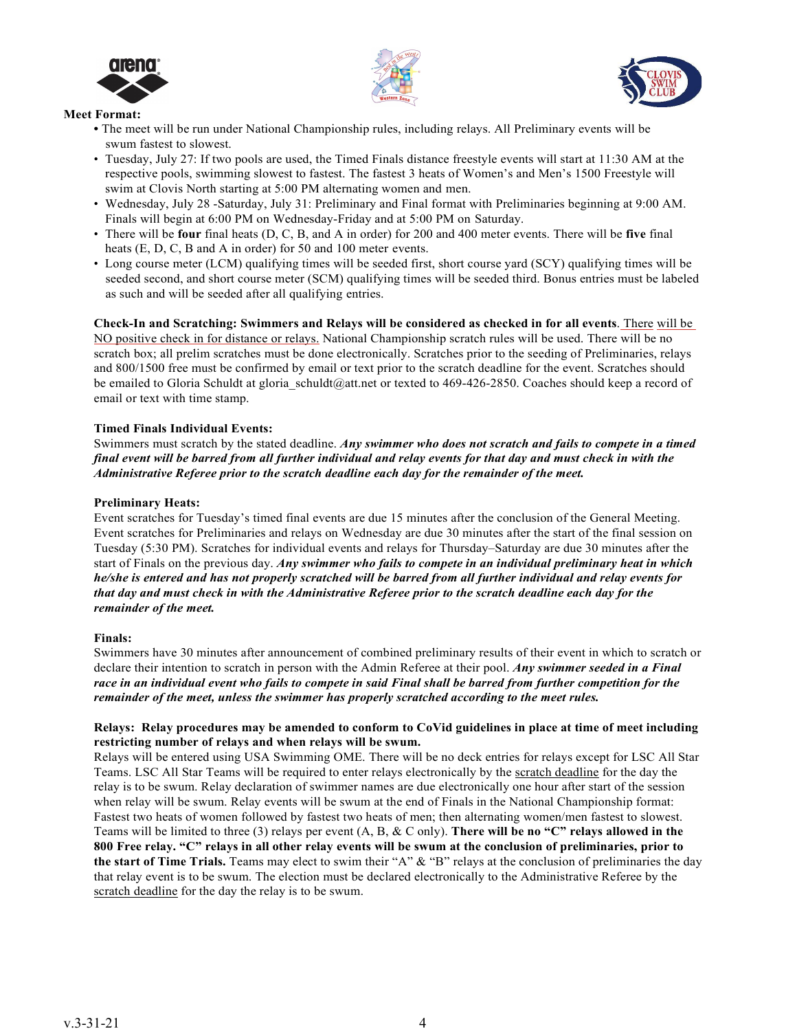





#### **Meet Format:**

- **•** The meet will be run under National Championship rules, including relays. All Preliminary events will be swum fastest to slowest.
- Tuesday, July 27: If two pools are used, the Timed Finals distance freestyle events will start at 11:30 AM at the respective pools, swimming slowest to fastest. The fastest 3 heats of Women's and Men's 1500 Freestyle will swim at Clovis North starting at 5:00 PM alternating women and men.
- Wednesday, July 28 -Saturday, July 31: Preliminary and Final format with Preliminaries beginning at 9:00 AM. Finals will begin at 6:00 PM on Wednesday-Friday and at 5:00 PM on Saturday.
- There will be **four** final heats (D, C, B, and A in order) for 200 and 400 meter events. There will be **five** final heats (E, D, C, B and A in order) for 50 and 100 meter events.
- Long course meter (LCM) qualifying times will be seeded first, short course yard (SCY) qualifying times will be seeded second, and short course meter (SCM) qualifying times will be seeded third. Bonus entries must be labeled as such and will be seeded after all qualifying entries.

**Check-In and Scratching: Swimmers and Relays will be considered as checked in for all events**. There will be NO positive check in for distance or relays. National Championship scratch rules will be used. There will be no scratch box; all prelim scratches must be done electronically. Scratches prior to the seeding of Preliminaries, relays and 800/1500 free must be confirmed by email or text prior to the scratch deadline for the event. Scratches should be emailed to Gloria Schuldt at gloria schuldt@att.net or texted to 469-426-2850. Coaches should keep a record of email or text with time stamp.

#### **Timed Finals Individual Events:**

Swimmers must scratch by the stated deadline. *Any swimmer who does not scratch and fails to compete in a timed final event will be barred from all further individual and relay events for that day and must check in with the Administrative Referee prior to the scratch deadline each day for the remainder of the meet.*

#### **Preliminary Heats:**

Event scratches for Tuesday's timed final events are due 15 minutes after the conclusion of the General Meeting. Event scratches for Preliminaries and relays on Wednesday are due 30 minutes after the start of the final session on Tuesday (5:30 PM). Scratches for individual events and relays for Thursday–Saturday are due 30 minutes after the start of Finals on the previous day. *Any swimmer who fails to compete in an individual preliminary heat in which he/she is entered and has not properly scratched will be barred from all further individual and relay events for that day and must check in with the Administrative Referee prior to the scratch deadline each day for the remainder of the meet.*

#### **Finals:**

Swimmers have 30 minutes after announcement of combined preliminary results of their event in which to scratch or declare their intention to scratch in person with the Admin Referee at their pool. *Any swimmer seeded in a Final race in an individual event who fails to compete in said Final shall be barred from further competition for the remainder of the meet, unless the swimmer has properly scratched according to the meet rules.*

#### **Relays: Relay procedures may be amended to conform to CoVid guidelines in place at time of meet including restricting number of relays and when relays will be swum.**

Relays will be entered using USA Swimming OME. There will be no deck entries for relays except for LSC All Star Teams. LSC All Star Teams will be required to enter relays electronically by the scratch deadline for the day the relay is to be swum. Relay declaration of swimmer names are due electronically one hour after start of the session when relay will be swum. Relay events will be swum at the end of Finals in the National Championship format: Fastest two heats of women followed by fastest two heats of men; then alternating women/men fastest to slowest. Teams will be limited to three (3) relays per event (A, B, & C only). **There will be no "C" relays allowed in the 800 Free relay. "C" relays in all other relay events will be swum at the conclusion of preliminaries, prior to the start of Time Trials.** Teams may elect to swim their "A" & "B" relays at the conclusion of preliminaries the day that relay event is to be swum. The election must be declared electronically to the Administrative Referee by the scratch deadline for the day the relay is to be swum.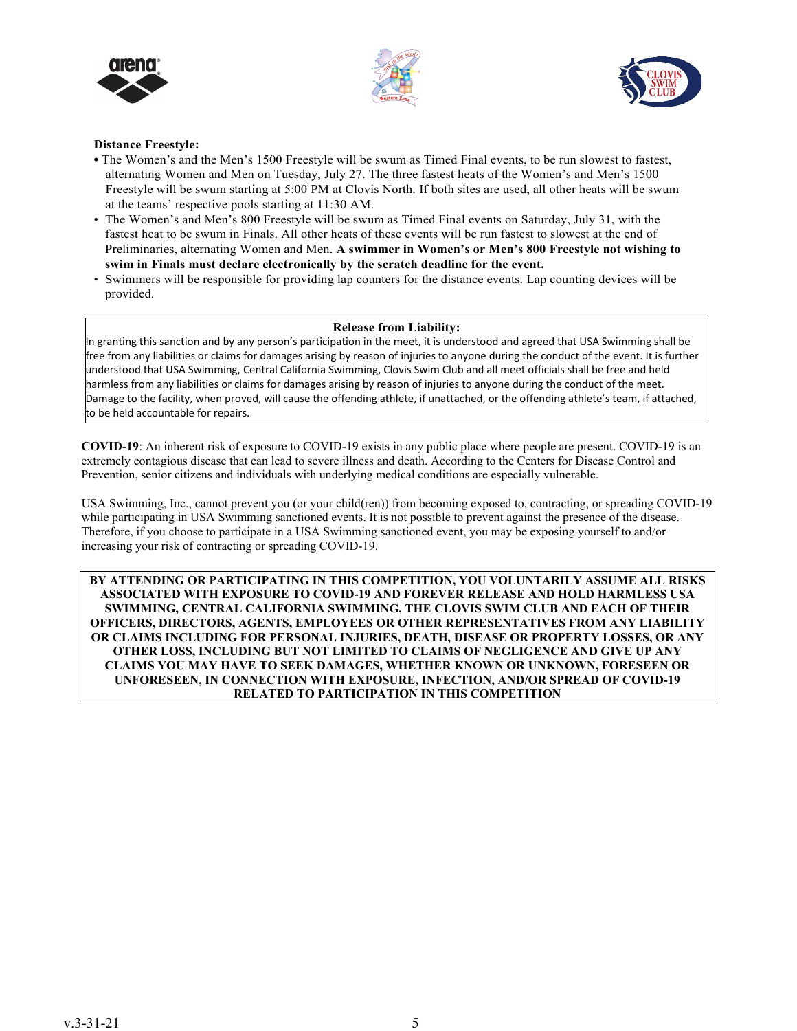





#### **Distance Freestyle:**

- **•** The Women's and the Men's 1500 Freestyle will be swum as Timed Final events, to be run slowest to fastest, alternating Women and Men on Tuesday, July 27. The three fastest heats of the Women's and Men's 1500 Freestyle will be swum starting at 5:00 PM at Clovis North. If both sites are used, all other heats will be swum at the teams' respective pools starting at 11:30 AM.
- The Women's and Men's 800 Freestyle will be swum as Timed Final events on Saturday, July 31, with the fastest heat to be swum in Finals. All other heats of these events will be run fastest to slowest at the end of Preliminaries, alternating Women and Men. **A swimmer in Women's or Men's 800 Freestyle not wishing to swim in Finals must declare electronically by the scratch deadline for the event.**
- Swimmers will be responsible for providing lap counters for the distance events. Lap counting devices will be provided.

#### **Release from Liability:**

In granting this sanction and by any person's participation in the meet, it is understood and agreed that USA Swimming shall be free from any liabilities or claims for damages arising by reason of injuries to anyone during the conduct of the event. It is further understood that USA Swimming, Central California Swimming, Clovis Swim Club and all meet officials shall be free and held harmless from any liabilities or claims for damages arising by reason of injuries to anyone during the conduct of the meet. Damage to the facility, when proved, will cause the offending athlete, if unattached, or the offending athlete's team, if attached, to be held accountable for repairs.

**COVID-19**: An inherent risk of exposure to COVID-19 exists in any public place where people are present. COVID-19 is an  extremely contagious disease that can lead to severe illness and death. According to the Centers for Disease Control and extremely contagious disease that can lead to severe filmess and death. According to the Centers for Dise<br>Prevention, senior citizens and individuals with underlying medical conditions are especially vulnerable. 

USA Swimming, Inc., cannot prevent you (or your child(ren)) from becoming exposed to, contracting, or spreading COVID-19  while participating in USA Swimming sanctioned events. It is not possible to prevent against the presence of the disease.<br>Therefore, if you also not position to in a USA Syring in a particular against you would appeal to p Therefore, if you choose to participate in a USA Swimming sanctioned event, you may be exposing yourself to and/or increasing your risk of contracting or spreading COVID-19. 

**BY ATTENDING OR PARTICIPATING IN THIS COMPETITION, YOU VOLUNTARILY ASSUME ALL RISKS ASSOCIATED WITH EXPOSURE TO COVID-19 AND FOREVER RELEASE AND HOLD HARMLESS USA SWIMMING, CENTRAL CALIFORNIA SWIMMING, THE CLOVIS SWIM CLUB AND EACH OF THEIR OFFICERS, DIRECTORS, AGENTS, EMPLOYEES OR OTHER REPRESENTATIVES FROM ANY LIABILITY OR CLAIMS INCLUDING FOR PERSONAL INJURIES, DEATH, DISEASE OR PROPERTY LOSSES, OR ANY OTHER LOSS, INCLUDING BUT NOT LIMITED TO CLAIMS OF NEGLIGENCE AND GIVE UP ANY CLAIMS YOU MAY HAVE TO SEEK DAMAGES, WHETHER KNOWN OR UNKNOWN, FORESEEN OR UNFORESEEN, IN CONNECTION WITH EXPOSURE, INFECTION, AND/OR SPREAD OF COVID-19 RELATED TO PARTICIPATION IN THIS COMPETITION**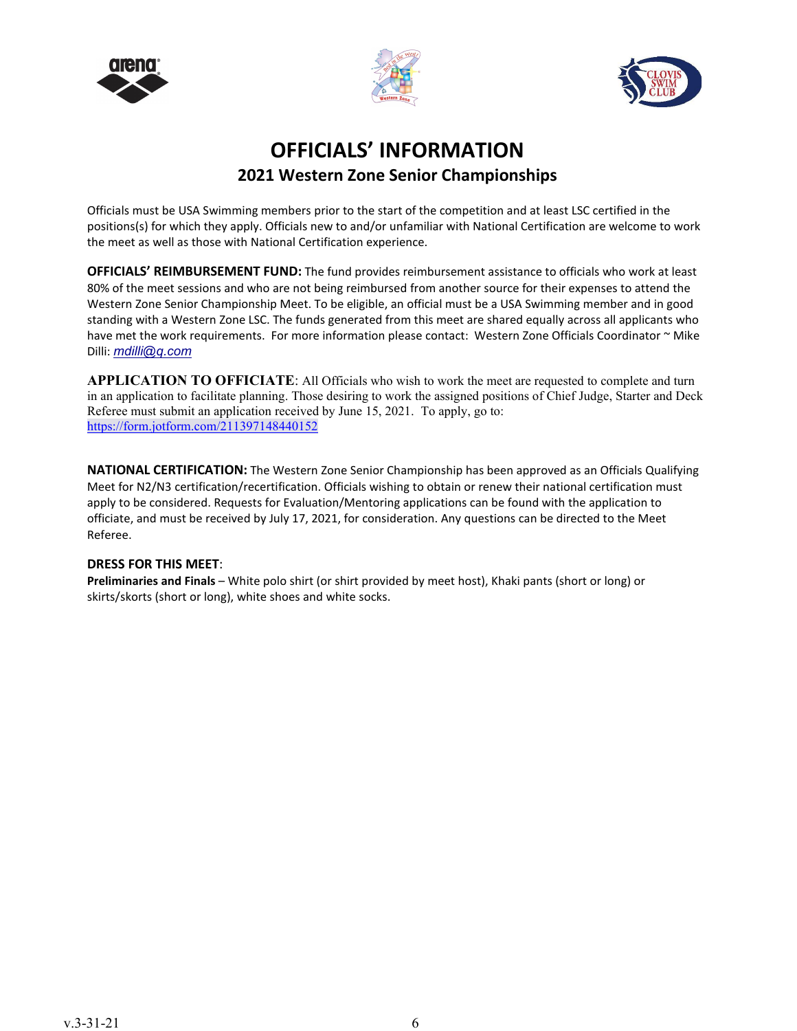





# **OFFICIALS' INFORMATION 2021 Western Zone Senior Championships**

Officials must be USA Swimming members prior to the start of the competition and at least LSC certified in the positions(s) for which they apply. Officials new to and/or unfamiliar with National Certification are welcome to work the meet as well as those with National Certification experience.

**OFFICIALS' REIMBURSEMENT FUND:** The fund provides reimbursement assistance to officials who work at least 80% of the meet sessions and who are not being reimbursed from another source for their expenses to attend the Western Zone Senior Championship Meet. To be eligible, an official must be a USA Swimming member and in good standing with a Western Zone LSC. The funds generated from this meet are shared equally across all applicants who have met the work requirements. For more information please contact: Western Zone Officials Coordinator ~ Mike Dilli: *[mdilli@q.com](mailto:mdilli@q.com)*

**APPLICATION TO OFFICIATE**: All Officials who wish to work the meet are requested to complete and turn in an application to facilitate planning. Those desiring to work the assigned positions of Chief Judge, Starter and Deck Referee must submit an application received by June 15, 2021. To apply, go to: <https://form.jotform.com/211397148440152>

**NATIONAL CERTIFICATION:** The Western Zone Senior Championship has been approved as an Officials Qualifying Meet for N2/N3 certification/recertification. Officials wishing to obtain or renew their national certification must apply to be considered. Requests for Evaluation/Mentoring applications can be found with the application to officiate, and must be received by July 17, 2021, for consideration. Any questions can be directed to the Meet Referee.

#### **DRESS FOR THIS MEET**:

**Preliminaries and Finals** – White polo shirt (or shirt provided by meet host), Khaki pants (short or long) or skirts/skorts (short or long), white shoes and white socks.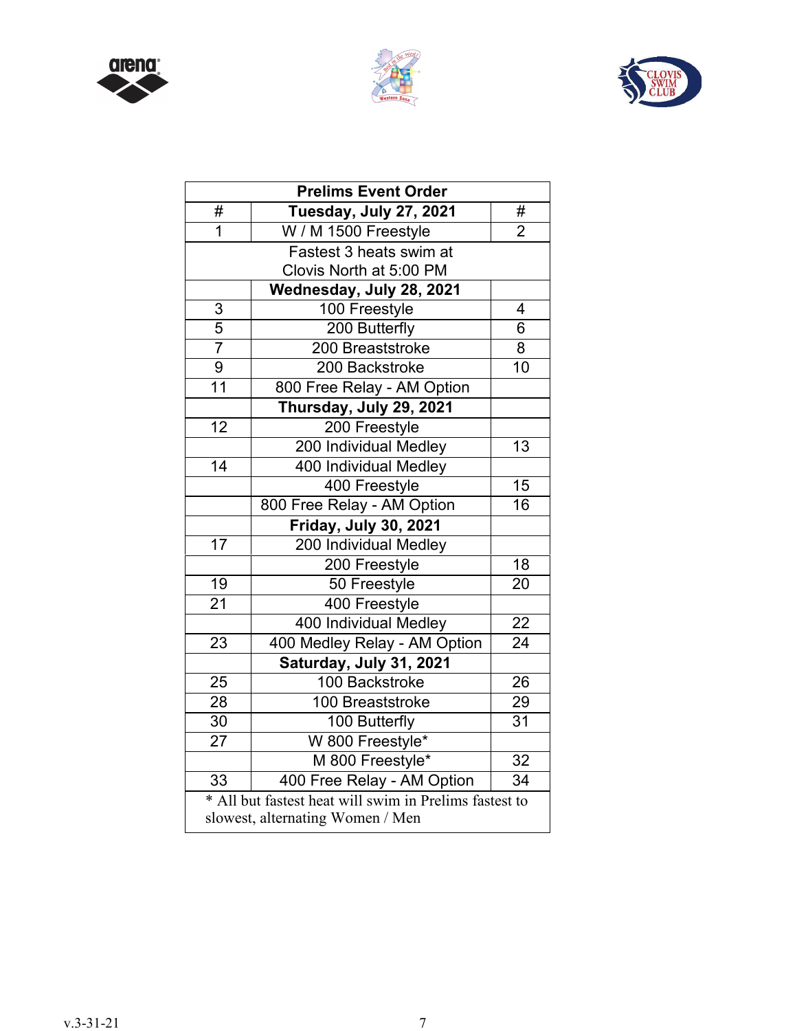





| <b>Prelims Event Order</b> |                                                        |                 |  |  |
|----------------------------|--------------------------------------------------------|-----------------|--|--|
| #                          | Tuesday, July 27, 2021                                 | #               |  |  |
| $\overline{1}$             | W / M 1500 Freestyle                                   | $\overline{2}$  |  |  |
|                            | Fastest 3 heats swim at                                |                 |  |  |
|                            | Clovis North at 5:00 PM                                |                 |  |  |
|                            | Wednesday, July 28, 2021                               |                 |  |  |
| $\frac{3}{5}$              | 100 Freestyle                                          | 4               |  |  |
|                            | 200 Butterfly                                          | 6               |  |  |
| $\overline{7}$             | 200 Breaststroke                                       | 8               |  |  |
| 9                          | 200 Backstroke                                         | 10              |  |  |
| $\overline{11}$            | 800 Free Relay - AM Option                             |                 |  |  |
|                            | Thursday, July 29, 2021                                |                 |  |  |
| 12                         | 200 Freestyle                                          |                 |  |  |
|                            | 200 Individual Medley                                  | 13              |  |  |
| $\overline{14}$            | 400 Individual Medley                                  |                 |  |  |
|                            | 400 Freestyle                                          | $\overline{15}$ |  |  |
|                            | 800 Free Relay - AM Option                             | 16              |  |  |
|                            | Friday, July 30, 2021                                  |                 |  |  |
| $\overline{17}$            | 200 Individual Medley                                  |                 |  |  |
|                            | 200 Freestyle                                          | $\overline{18}$ |  |  |
| 19                         | 50 Freestyle                                           | 20              |  |  |
| $\overline{21}$            | 400 Freestyle                                          |                 |  |  |
|                            | 400 Individual Medley                                  | 22              |  |  |
| 23                         | 400 Medley Relay - AM Option                           | $\overline{24}$ |  |  |
|                            | Saturday, July 31, 2021                                |                 |  |  |
| $\overline{25}$            | 100 Backstroke                                         | $\overline{26}$ |  |  |
| $\overline{28}$            | 100 Breaststroke                                       | $\overline{29}$ |  |  |
| 30                         | 100 Butterfly                                          | $\overline{31}$ |  |  |
| $\overline{27}$            | W 800 Freestyle*                                       |                 |  |  |
|                            | M 800 Freestyle*                                       | 32              |  |  |
| 33                         | 400 Free Relay - AM Option                             | 34              |  |  |
|                            | * All but fastest heat will swim in Prelims fastest to |                 |  |  |
|                            | slowest, alternating Women / Men                       |                 |  |  |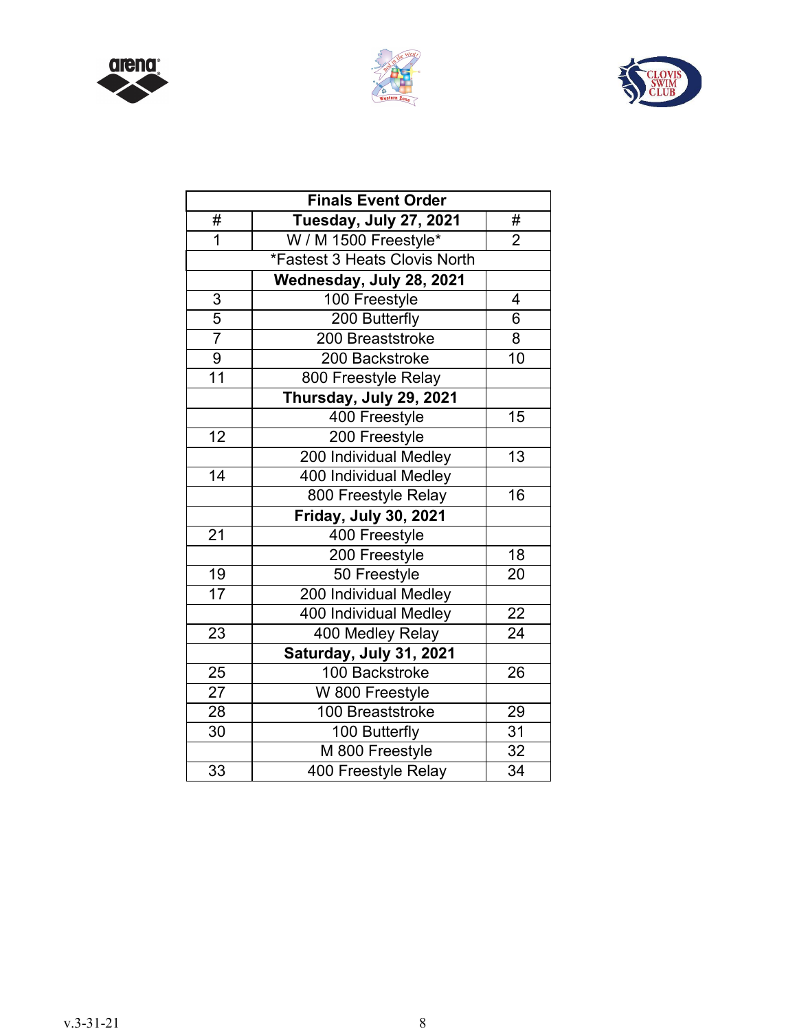





|                 | <b>Finals Event Order</b>     |                 |
|-----------------|-------------------------------|-----------------|
| #               | Tuesday, July 27, 2021        | #               |
| $\overline{1}$  | W / M 1500 Freestyle*         | $\overline{2}$  |
|                 | *Fastest 3 Heats Clovis North |                 |
|                 | Wednesday, July 28, 2021      |                 |
| $\overline{3}$  | 100 Freestyle                 | 4               |
| $\overline{5}$  | 200 Butterfly                 | $\overline{6}$  |
| $\overline{7}$  | 200 Breaststroke              | 8               |
| $\overline{9}$  | 200 Backstroke                | $\overline{10}$ |
| 11              | 800 Freestyle Relay           |                 |
|                 | Thursday, July 29, 2021       |                 |
|                 | 400 Freestyle                 | 15              |
| 12              | 200 Freestyle                 |                 |
|                 | 200 Individual Medley         | $\overline{13}$ |
| 14              | 400 Individual Medley         |                 |
|                 | 800 Freestyle Relay           | 16              |
|                 | <b>Friday, July 30, 2021</b>  |                 |
| $\overline{21}$ | 400 Freestyle                 |                 |
|                 | 200 Freestyle                 | 18              |
| 19              | 50 Freestyle                  | 20              |
| $\overline{17}$ | 200 Individual Medley         |                 |
|                 | 400 Individual Medley         | 22              |
| 23              | 400 Medley Relay              | $\overline{24}$ |
|                 | Saturday, July 31, 2021       |                 |
| 25              | 100 Backstroke                | 26              |
| $\overline{27}$ | W 800 Freestyle               |                 |
| 28              | 100 Breaststroke              | 29              |
| 30 <sub>o</sub> | 100 Butterfly                 | $\overline{31}$ |
|                 | M 800 Freestyle               | 32              |
| $\overline{33}$ | 400 Freestyle Relay           | $\overline{34}$ |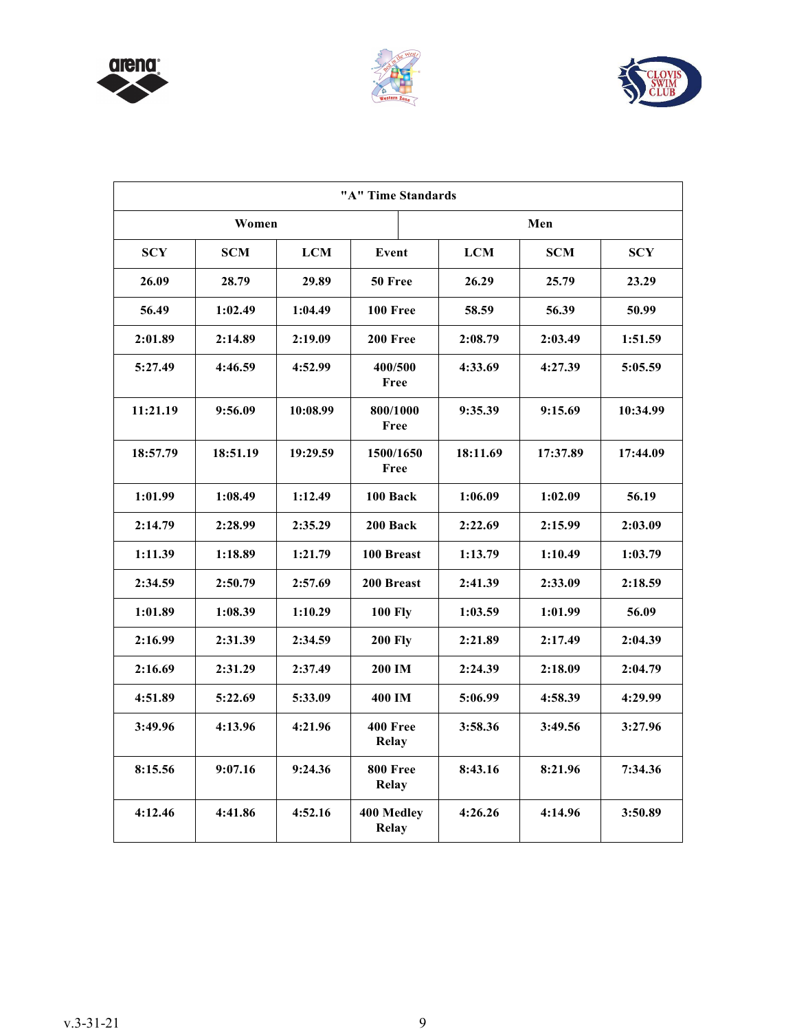





| "A" Time Standards |            |            |                                 |            |            |            |
|--------------------|------------|------------|---------------------------------|------------|------------|------------|
|                    | Women      |            |                                 |            | Men        |            |
| <b>SCY</b>         | <b>SCM</b> | <b>LCM</b> | Event                           | <b>LCM</b> | <b>SCM</b> | <b>SCY</b> |
| 26.09              | 28.79      | 29.89      | 50 Free                         | 26.29      | 25.79      | 23.29      |
| 56.49              | 1:02.49    | 1:04.49    | 100 Free                        | 58.59      | 56.39      | 50.99      |
| 2:01.89            | 2:14.89    | 2:19.09    | 200 Free                        | 2:08.79    | 2:03.49    | 1:51.59    |
| 5:27.49            | 4:46.59    | 4:52.99    | 400/500<br>Free                 | 4:33.69    | 4:27.39    | 5:05.59    |
| 11:21.19           | 9:56.09    | 10:08.99   | 800/1000<br>Free                | 9:35.39    | 9:15.69    | 10:34.99   |
| 18:57.79           | 18:51.19   | 19:29.59   | 1500/1650<br>Free               | 18:11.69   | 17:37.89   | 17:44.09   |
| 1:01.99            | 1:08.49    | 1:12.49    | 100 Back                        | 1:06.09    | 1:02.09    | 56.19      |
| 2:14.79            | 2:28.99    | 2:35.29    | 200 Back                        | 2:22.69    | 2:15.99    | 2:03.09    |
| 1:11.39            | 1:18.89    | 1:21.79    | 100 Breast                      | 1:13.79    | 1:10.49    | 1:03.79    |
| 2:34.59            | 2:50.79    | 2:57.69    | 200 Breast                      | 2:41.39    | 2:33.09    | 2:18.59    |
| 1:01.89            | 1:08.39    | 1:10.29    | <b>100 Fly</b>                  | 1:03.59    | 1:01.99    | 56.09      |
| 2:16.99            | 2:31.39    | 2:34.59    | <b>200 Fly</b>                  | 2:21.89    | 2:17.49    | 2:04.39    |
| 2:16.69            | 2:31.29    | 2:37.49    | 200 IM                          | 2:24.39    | 2:18.09    | 2:04.79    |
| 4:51.89            | 5:22.69    | 5:33.09    | 400 IM                          | 5:06.99    | 4:58.39    | 4:29.99    |
| 3:49.96            | 4:13.96    | 4:21.96    | <b>400 Free</b><br><b>Relay</b> | 3:58.36    | 3:49.56    | 3:27.96    |
| 8:15.56            | 9:07.16    | 9:24.36    | <b>800 Free</b><br><b>Relay</b> | 8:43.16    | 8:21.96    | 7:34.36    |
| 4:12.46            | 4:41.86    | 4:52.16    | 400 Medley<br><b>Relay</b>      | 4:26.26    | 4:14.96    | 3:50.89    |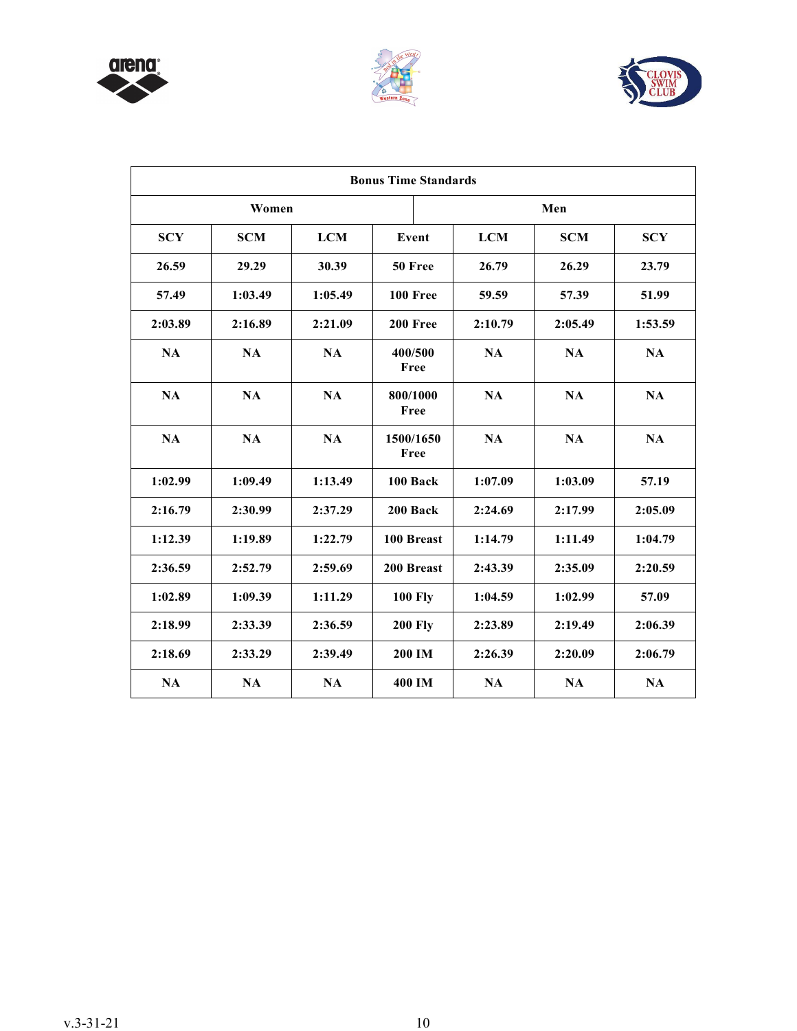





| <b>Bonus Time Standards</b> |               |            |                   |            |            |            |
|-----------------------------|---------------|------------|-------------------|------------|------------|------------|
|                             | Women<br>Men  |            |                   |            |            |            |
| <b>SCY</b>                  | <b>SCM</b>    | <b>LCM</b> | Event             | <b>LCM</b> | <b>SCM</b> | <b>SCY</b> |
| 26.59                       | 29.29         | 30.39      | 50 Free           | 26.79      | 26.29      | 23.79      |
| 57.49                       | 1:03.49       | 1:05.49    | <b>100 Free</b>   | 59.59      | 57.39      | 51.99      |
| 2:03.89                     | 2:16.89       | 2:21.09    | 200 Free          | 2:10.79    | 2:05.49    | 1:53.59    |
| <b>NA</b>                   | <b>NA</b>     | <b>NA</b>  | 400/500<br>Free   | <b>NA</b>  | <b>NA</b>  | <b>NA</b>  |
| <b>NA</b>                   | $\mathbf{NA}$ | <b>NA</b>  | 800/1000<br>Free  | NA         | <b>NA</b>  | NA         |
| <b>NA</b>                   | <b>NA</b>     | <b>NA</b>  | 1500/1650<br>Free | <b>NA</b>  | <b>NA</b>  | <b>NA</b>  |
| 1:02.99                     | 1:09.49       | 1:13.49    | 100 Back          | 1:07.09    | 1:03.09    | 57.19      |
| 2:16.79                     | 2:30.99       | 2:37.29    | 200 Back          | 2:24.69    | 2:17.99    | 2:05.09    |
| 1:12.39                     | 1:19.89       | 1:22.79    | 100 Breast        | 1:14.79    | 1:11.49    | 1:04.79    |
| 2:36.59                     | 2:52.79       | 2:59.69    | 200 Breast        | 2:43.39    | 2:35.09    | 2:20.59    |
| 1:02.89                     | 1:09.39       | 1:11.29    | <b>100 Fly</b>    | 1:04.59    | 1:02.99    | 57.09      |
| 2:18.99                     | 2:33.39       | 2:36.59    | <b>200 Fly</b>    | 2:23.89    | 2:19.49    | 2:06.39    |
| 2:18.69                     | 2:33.29       | 2:39.49    | 200 IM            | 2:26.39    | 2:20.09    | 2:06.79    |
| NA                          | NA            | <b>NA</b>  | 400 IM            | <b>NA</b>  | NA         | NA         |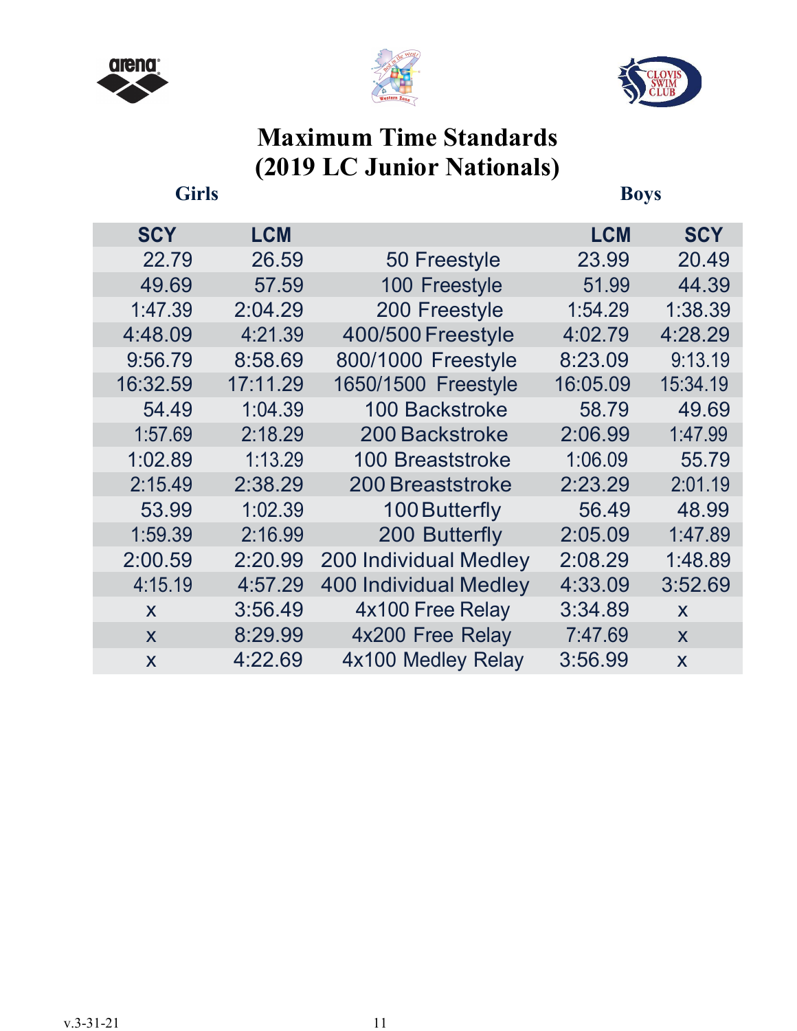





# **Maximum Time Standards (2019 LC Junior Nationals)**

**Girls Boys**

| <b>SCY</b>              | <b>LCM</b> |                              | <b>LCM</b> | <b>SCY</b>   |
|-------------------------|------------|------------------------------|------------|--------------|
| 22.79                   | 26.59      | 50 Freestyle                 | 23.99      | 20.49        |
| 49.69                   | 57.59      | 100 Freestyle                | 51.99      | 44.39        |
| 1:47.39                 | 2:04.29    | 200 Freestyle                | 1:54.29    | 1:38.39      |
| 4:48.09                 | 4:21.39    | 400/500 Freestyle            | 4:02.79    | 4:28.29      |
| 9:56.79                 | 8:58.69    | 800/1000 Freestyle           | 8:23.09    | 9:13.19      |
| 16:32.59                | 17:11.29   | 1650/1500 Freestyle          | 16:05.09   | 15:34.19     |
| 54.49                   | 1:04.39    | <b>100 Backstroke</b>        | 58.79      | 49.69        |
| 1:57.69                 | 2:18.29    | 200 Backstroke               | 2:06.99    | 1:47.99      |
| 1:02.89                 | 1:13.29    | <b>100 Breaststroke</b>      | 1:06.09    | 55.79        |
| 2:15.49                 | 2:38.29    | <b>200 Breaststroke</b>      | 2:23.29    | 2:01.19      |
| 53.99                   | 1:02.39    | 100 Butterfly                | 56.49      | 48.99        |
| 1:59.39                 | 2:16.99    | 200 Butterfly                | 2:05.09    | 1:47.89      |
| 2:00.59                 | 2:20.99    | <b>200 Individual Medley</b> | 2:08.29    | 1:48.89      |
| 4:15.19                 | 4:57.29    | <b>400 Individual Medley</b> | 4:33.09    | 3:52.69      |
| X                       | 3:56.49    | 4x100 Free Relay             | 3:34.89    | X            |
| $\mathbf x$             | 8:29.99    | 4x200 Free Relay             | 7:47.69    | $\mathsf{X}$ |
| $\overline{\mathsf{x}}$ | 4:22.69    | 4x100 Medley Relay           | 3:56.99    | X            |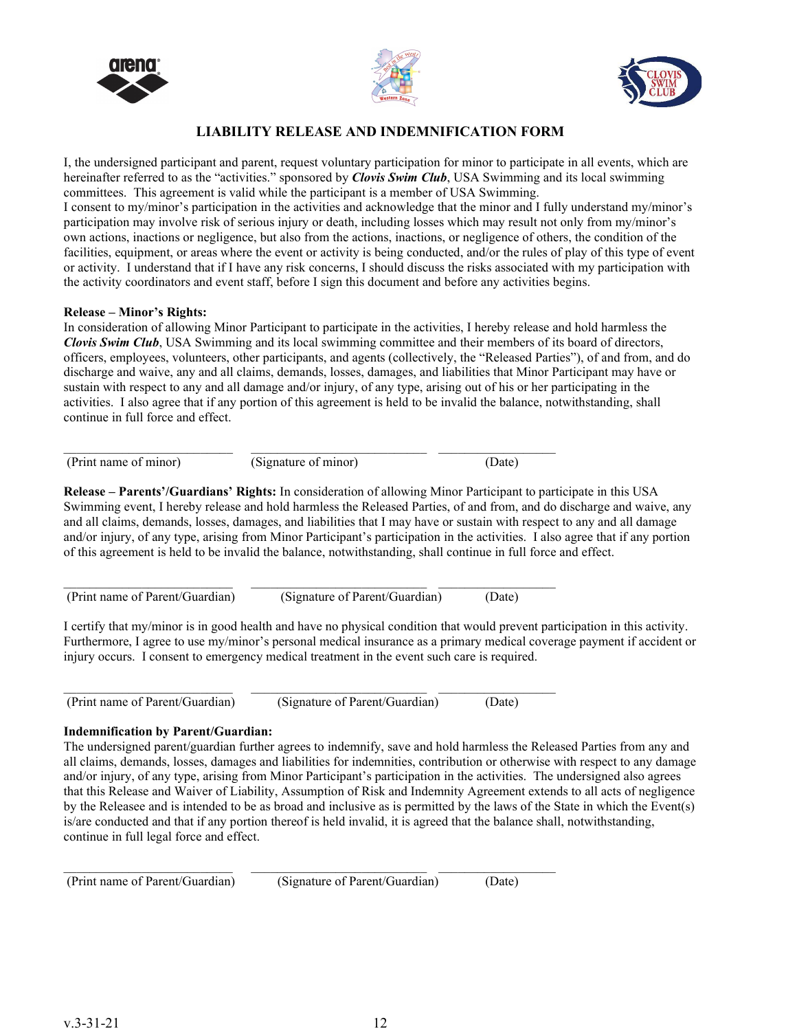





#### **LIABILITY RELEASE AND INDEMNIFICATION FORM**

I, the undersigned participant and parent, request voluntary participation for minor to participate in all events, which are hereinafter referred to as the "activities." sponsored by *Clovis Swim Club*, USA Swimming and its local swimming committees. This agreement is valid while the participant is a member of USA Swimming. I consent to my/minor's participation in the activities and acknowledge that the minor and I fully understand my/minor's participation may involve risk of serious injury or death, including losses which may result not only from my/minor's own actions, inactions or negligence, but also from the actions, inactions, or negligence of others, the condition of the facilities, equipment, or areas where the event or activity is being conducted, and/or the rules of play of this type of event or activity. I understand that if I have any risk concerns, I should discuss the risks associated with my participation with the activity coordinators and event staff, before I sign this document and before any activities begins.

#### **Release – Minor's Rights:**

In consideration of allowing Minor Participant to participate in the activities, I hereby release and hold harmless the *Clovis Swim Club*, USA Swimming and its local swimming committee and their members of its board of directors, officers, employees, volunteers, other participants, and agents (collectively, the "Released Parties"), of and from, and do discharge and waive, any and all claims, demands, losses, damages, and liabilities that Minor Participant may have or sustain with respect to any and all damage and/or injury, of any type, arising out of his or her participating in the activities. I also agree that if any portion of this agreement is held to be invalid the balance, notwithstanding, shall continue in full force and effect.

| (Print name of minor) | (Signature of minor) |  |
|-----------------------|----------------------|--|

**Release – Parents'/Guardians' Rights:** In consideration of allowing Minor Participant to participate in this USA Swimming event, I hereby release and hold harmless the Released Parties, of and from, and do discharge and waive, any and all claims, demands, losses, damages, and liabilities that I may have or sustain with respect to any and all damage and/or injury, of any type, arising from Minor Participant's participation in the activities. I also agree that if any portion of this agreement is held to be invalid the balance, notwithstanding, shall continue in full force and effect.

(Print name of Parent/Guardian) (Signature of Parent/Guardian) (Date)

 $\mathcal{L}_\mathcal{L} = \{ \mathcal{L}_\mathcal{L} = \{ \mathcal{L}_\mathcal{L} = \{ \mathcal{L}_\mathcal{L} = \{ \mathcal{L}_\mathcal{L} = \{ \mathcal{L}_\mathcal{L} = \{ \mathcal{L}_\mathcal{L} = \{ \mathcal{L}_\mathcal{L} = \{ \mathcal{L}_\mathcal{L} = \{ \mathcal{L}_\mathcal{L} = \{ \mathcal{L}_\mathcal{L} = \{ \mathcal{L}_\mathcal{L} = \{ \mathcal{L}_\mathcal{L} = \{ \mathcal{L}_\mathcal{L} = \{ \mathcal{L}_\mathcal{$ 

I certify that my/minor is in good health and have no physical condition that would prevent participation in this activity. Furthermore, I agree to use my/minor's personal medical insurance as a primary medical coverage payment if accident or injury occurs. I consent to emergency medical treatment in the event such care is required.

\_\_\_\_\_\_\_\_\_\_\_\_\_\_\_\_\_\_\_\_\_\_\_\_\_\_ \_\_\_\_\_\_\_\_\_\_\_\_\_\_\_\_\_\_\_\_\_\_\_\_\_\_\_ \_\_\_\_\_\_\_\_\_\_\_\_\_\_\_\_\_\_ (Print name of Parent/Guardian) (Signature of Parent/Guardian) (Date)

 $\mathcal{L}_\mathcal{L} = \{ \mathcal{L}_\mathcal{L} = \{ \mathcal{L}_\mathcal{L} = \{ \mathcal{L}_\mathcal{L} = \{ \mathcal{L}_\mathcal{L} = \{ \mathcal{L}_\mathcal{L} = \{ \mathcal{L}_\mathcal{L} = \{ \mathcal{L}_\mathcal{L} = \{ \mathcal{L}_\mathcal{L} = \{ \mathcal{L}_\mathcal{L} = \{ \mathcal{L}_\mathcal{L} = \{ \mathcal{L}_\mathcal{L} = \{ \mathcal{L}_\mathcal{L} = \{ \mathcal{L}_\mathcal{L} = \{ \mathcal{L}_\mathcal{$ 

#### **Indemnification by Parent/Guardian:**

The undersigned parent/guardian further agrees to indemnify, save and hold harmless the Released Parties from any and all claims, demands, losses, damages and liabilities for indemnities, contribution or otherwise with respect to any damage and/or injury, of any type, arising from Minor Participant's participation in the activities. The undersigned also agrees that this Release and Waiver of Liability, Assumption of Risk and Indemnity Agreement extends to all acts of negligence by the Releasee and is intended to be as broad and inclusive as is permitted by the laws of the State in which the Event(s) is/are conducted and that if any portion thereof is held invalid, it is agreed that the balance shall, notwithstanding, continue in full legal force and effect.

(Print name of Parent/Guardian) (Signature of Parent/Guardian) (Date)